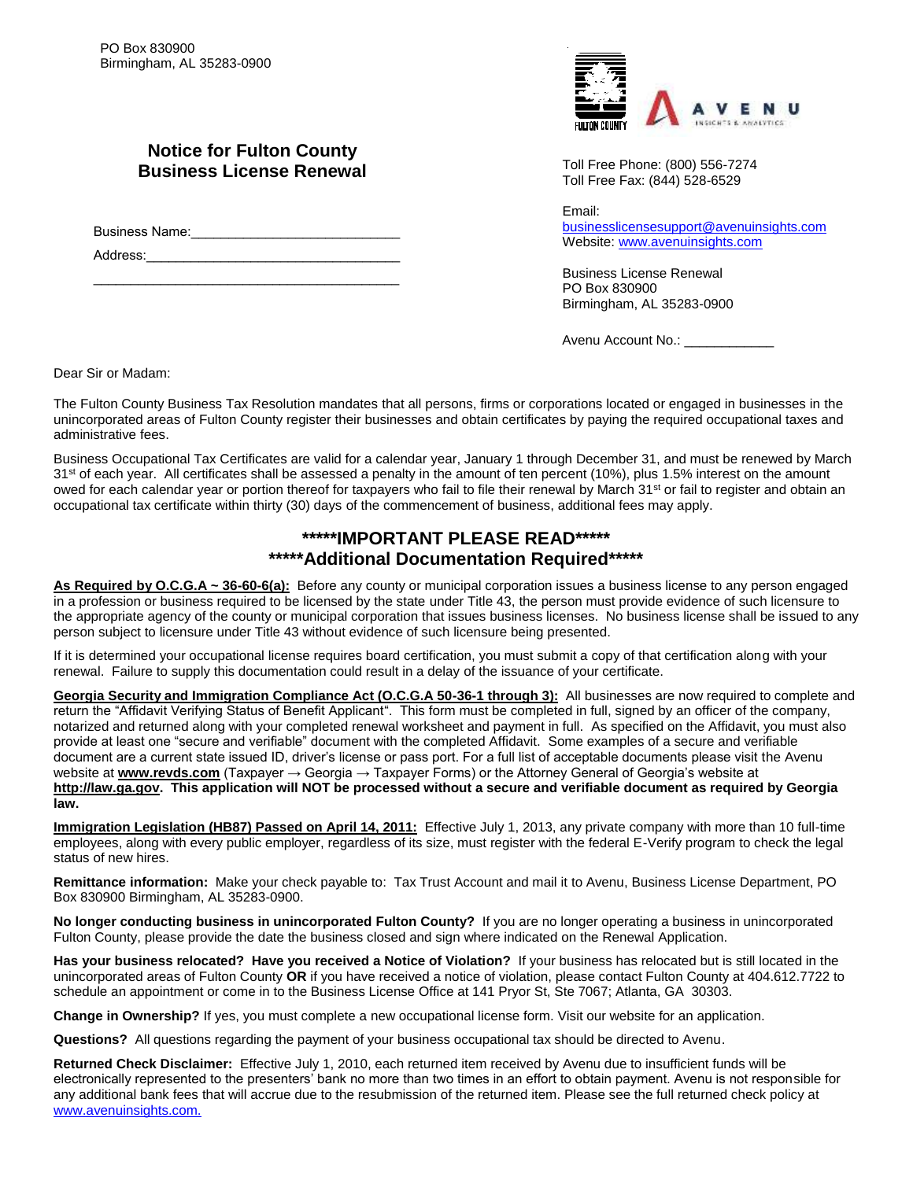

## **Notice for Fulton County Business License Renewal**

Business Name:\_\_\_\_\_\_\_\_\_\_\_\_\_\_\_\_\_\_\_\_\_\_\_\_\_\_\_\_

 $\mathcal{L}_\text{max}$  , and the set of the set of the set of the set of the set of the set of the set of the set of the set of the set of the set of the set of the set of the set of the set of the set of the set of the set of the

Address:

Toll Free Phone: (800) 556-7274 Toll Free Fax: (844) 528-6529

Email: [businesslicensesupport@avenuinsights.com](mailto:businesslicensesupport@avenuinsights.com) Website: [www.avenuinsights.com](http://www.avenuinsights.com/)

Business License Renewal PO Box 830900 Birmingham, AL 35283-0900

Avenu Account No.: \_\_\_\_\_\_\_\_\_\_\_

Dear Sir or Madam:

The Fulton County Business Tax Resolution mandates that all persons, firms or corporations located or engaged in businesses in the unincorporated areas of Fulton County register their businesses and obtain certificates by paying the required occupational taxes and administrative fees.

Business Occupational Tax Certificates are valid for a calendar year, January 1 through December 31, and must be renewed by March 31<sup>st</sup> of each year. All certificates shall be assessed a penalty in the amount of ten percent (10%), plus 1.5% interest on the amount owed for each calendar year or portion thereof for taxpayers who fail to file their renewal by March 31<sup>st</sup> or fail to register and obtain an occupational tax certificate within thirty (30) days of the commencement of business, additional fees may apply.

### **\*\*\*\*\*IMPORTANT PLEASE READ\*\*\*\*\* \*\*\*\*\*Additional Documentation Required\*\*\*\*\***

**As Required by O.C.G.A ~ 36-60-6(a):** Before any county or municipal corporation issues a business license to any person engaged in a profession or business required to be licensed by the state under Title 43, the person must provide evidence of such licensure to the appropriate agency of the county or municipal corporation that issues business licenses. No business license shall be issued to any person subject to licensure under Title 43 without evidence of such licensure being presented.

If it is determined your occupational license requires board certification, you must submit a copy of that certification along with your renewal. Failure to supply this documentation could result in a delay of the issuance of your certificate.

**Georgia Security and Immigration Compliance Act (O.C.G.A 50-36-1 through 3):** All businesses are now required to complete and return the "Affidavit Verifying Status of Benefit Applicant". This form must be completed in full, signed by an officer of the company, notarized and returned along with your completed renewal worksheet and payment in full. As specified on the Affidavit, you must also provide at least one "secure and verifiable" document with the completed Affidavit. Some examples of a secure and verifiable document are a current state issued ID, driver's license or pass port. For a full list of acceptable documents please visit the Avenu website at [www.revds.com](http://www.revds.com/) (Taxpayer → Georgia → Taxpayer Forms) or the Attorney General of Georgia's website at **[http://law.ga.gov.](http://law.ga.gov/) This application will NOT be processed without a secure and verifiable document as required by Georgia law.**

**Immigration Legislation (HB87) Passed on April 14, 2011:** Effective July 1, 2013, any private company with more than 10 full-time employees, along with every public employer, regardless of its size, must register with the federal E-Verify program to check the legal status of new hires.

**Remittance information:** Make your check payable to: Tax Trust Account and mail it to Avenu, Business License Department, PO Box 830900 Birmingham, AL 35283-0900.

**No longer conducting business in unincorporated Fulton County?** If you are no longer operating a business in unincorporated Fulton County, please provide the date the business closed and sign where indicated on the Renewal Application.

**Has your business relocated? Have you received a Notice of Violation?** If your business has relocated but is still located in the unincorporated areas of Fulton County **OR** if you have received a notice of violation, please contact Fulton County at 404.612.7722 to schedule an appointment or come in to the Business License Office at 141 Pryor St, Ste 7067; Atlanta, GA 30303.

**Change in Ownership?** If yes, you must complete a new occupational license form. Visit our website for an application.

**Questions?** All questions regarding the payment of your business occupational tax should be directed to Avenu.

**Returned Check Disclaimer:** Effective July 1, 2010, each returned item received by Avenu due to insufficient funds will be electronically represented to the presenters' bank no more than two times in an effort to obtain payment. Avenu is not responsible for any additional bank fees that will accrue due to the resubmission of the returned item. Please see the full returned check policy at [www.avenuinsights.com.](http://www.avenuinsights.com./)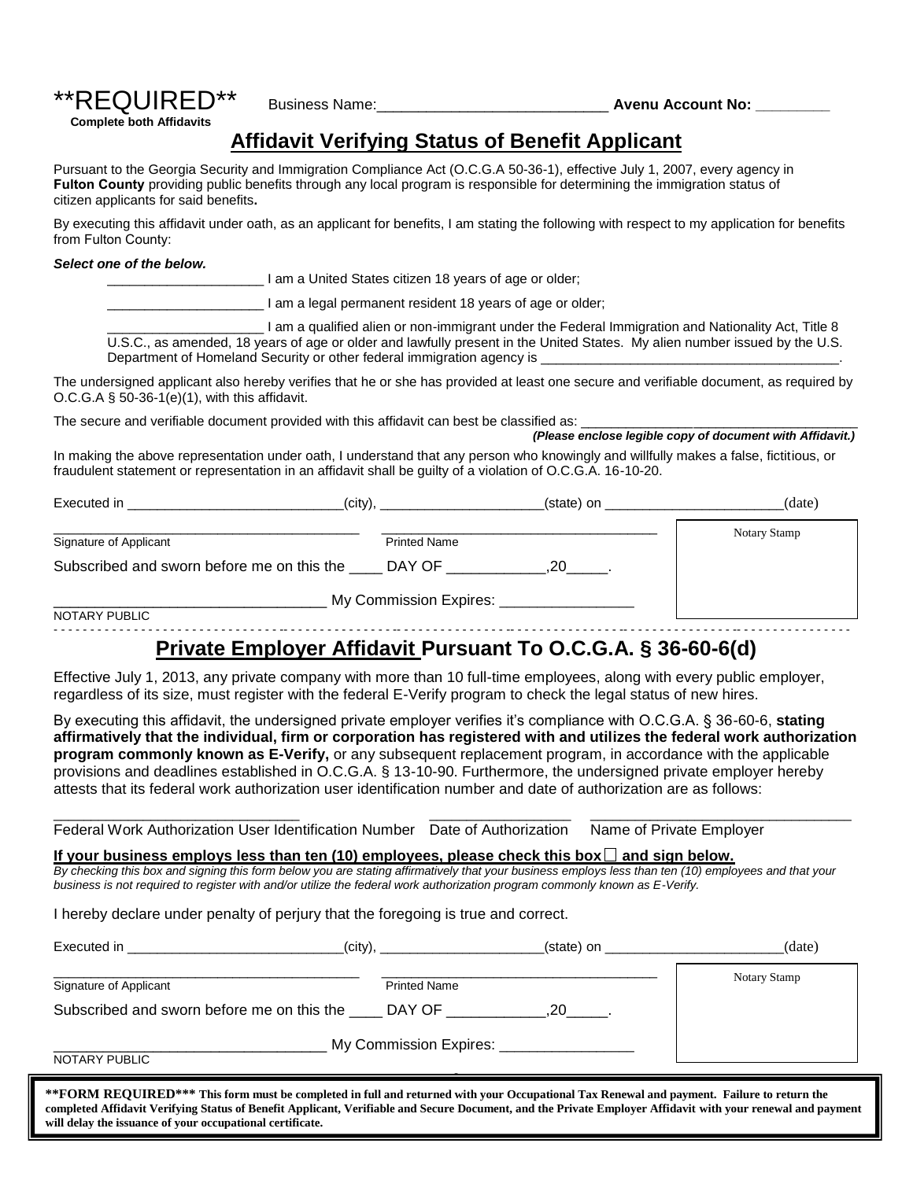# \*\*REQUIRED\*\* Business Name:\_\_\_\_\_\_\_\_\_\_\_\_\_\_\_\_\_\_\_\_\_\_\_\_\_\_\_\_ **Avenu Account No: \_\_\_\_\_\_\_\_\_**

**Complete both Affidavits**

## **Affidavit Verifying Status of Benefit Applicant**

Pursuant to the Georgia Security and Immigration Compliance Act (O.C.G.A 50-36-1), effective July 1, 2007, every agency in **Fulton County** providing public benefits through any local program is responsible for determining the immigration status of citizen applicants for said benefits**.** 

By executing this affidavit under oath, as an applicant for benefits, I am stating the following with respect to my application for benefits from Fulton County:

#### *Select one of the below.*

\_\_\_\_\_\_\_\_\_\_\_\_\_\_\_\_\_\_\_\_\_ I am a United States citizen 18 years of age or older;

I am a legal permanent resident 18 years of age or older;

\_\_\_\_\_\_\_\_\_\_\_\_\_\_\_\_\_\_\_\_\_ I am a qualified alien or non-immigrant under the Federal Immigration and Nationality Act, Title 8 U.S.C., as amended, 18 years of age or older and lawfully present in the United States. My alien number issued by the U.S. Department of Homeland Security or other federal immigration agency is

The undersigned applicant also hereby verifies that he or she has provided at least one secure and verifiable document, as required by O.C.G.A § 50-36-1(e)(1), with this affidavit.

The secure and verifiable document provided with this affidavit can best be classified as:

 *(Please enclose legible copy of document with Affidavit.)*

In making the above representation under oath, I understand that any person who knowingly and willfully makes a false, fictitious, or fraudulent statement or representation in an affidavit shall be guilty of a violation of O.C.G.A. 16-10-20.

| (city),<br>Executed in                     |                        | (state) on | (date)       |
|--------------------------------------------|------------------------|------------|--------------|
| Signature of Applicant                     | <b>Printed Name</b>    |            | Notary Stamp |
| Subscribed and sworn before me on this the | DAY OF                 |            |              |
|                                            | My Commission Expires: |            |              |
| NOTARY PUBLIC                              |                        |            |              |

### - - - - - - - - - - - - - - - - - - - - - - - - - - - - - - - -- - - - - - - - - - - - - - - -- - - - - - - - - - - - - - - -- - - - - - - - - - - - - - - -- - - - - - - - - - - - - - - -- - - - - - - - - - - - - - - - **Private Employer Affidavit Pursuant To O.C.G.A. § 36-60-6(d)**

Effective July 1, 2013, any private company with more than 10 full-time employees, along with every public employer, regardless of its size, must register with the federal E-Verify program to check the legal status of new hires.

By executing this affidavit, the undersigned private employer verifies it's compliance with O.C.G.A. § 36-60-6, **stating affirmatively that the individual, firm or corporation has registered with and utilizes the federal work authorization program commonly known as E-Verify,** or any subsequent replacement program, in accordance with the applicable provisions and deadlines established in O.C.G.A. § 13-10-90. Furthermore, the undersigned private employer hereby attests that its federal work authorization user identification number and date of authorization are as follows:

\_\_\_\_\_\_\_\_\_\_\_\_\_\_\_\_\_\_\_\_\_\_\_\_\_\_\_\_\_\_\_\_\_ \_\_\_\_\_\_\_\_\_\_\_\_\_\_\_\_\_\_\_ \_\_\_\_\_\_\_\_\_\_\_\_\_\_\_\_\_\_\_\_\_\_\_\_\_\_\_\_\_\_\_\_\_\_\_ Federal Work Authorization User Identification Number Date of Authorization Name of Private Employer

If your business employs less than ten  $(10)$  employees, please check this box  $\Box$  and sign below.

*By checking this box and signing this form below you are stating affirmatively that your business employs less than ten (10) employees and that your business is not required to register with and/or utilize the federal work authorization program commonly known as E-Verify.* 

I hereby declare under penalty of perjury that the foregoing is true and correct.

| Executed in the control of the control of the control of the control of the control of the control of the control of the control of the control of the control of the control of the control of the control of the control of |                     | (state) on ______________ | (date)       |
|-------------------------------------------------------------------------------------------------------------------------------------------------------------------------------------------------------------------------------|---------------------|---------------------------|--------------|
| Signature of Applicant                                                                                                                                                                                                        | <b>Printed Name</b> |                           | Notary Stamp |
| Subscribed and sworn before me on this the DAY OF                                                                                                                                                                             |                     | .20                       |              |
| My Commission Expires: __________________<br>NOTARY PUBLIC                                                                                                                                                                    |                     |                           |              |

**\*\*FORM REQUIRED\*\*\* This form must be completed in full and returned with your Occupational Tax Renewal and payment. Failure to return the completed Affidavit Verifying Status of Benefit Applicant, Verifiable and Secure Document, and the Private Employer Affidavit with your renewal and payment will delay the issuance of your occupational certificate.**